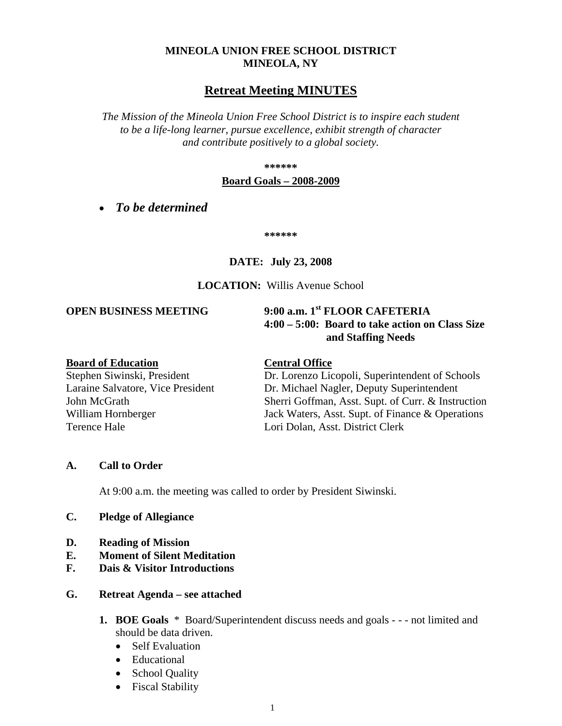# **MINEOLA UNION FREE SCHOOL DISTRICT MINEOLA, NY**

# **Retreat Meeting MINUTES**

*The Mission of the Mineola Union Free School District is to inspire each student to be a life-long learner, pursue excellence, exhibit strength of character and contribute positively to a global society.*

**\*\*\*\*\*\***

#### **Board Goals – 2008-2009**

• *To be determined*

**\*\*\*\*\*\***

# **DATE: July 23, 2008**

## **LOCATION:** Willis Avenue School

## **OPEN BUSINESS MEETING 9:00 a.m. 1st FLOOR CAFETERIA**

**4:00 – 5:00: Board to take action on Class Size and Staffing Needs**

### **Board of Education Central Office**

Terence Hale **Lori Dolan, Asst. District Clerk** 

Stephen Siwinski, President Dr. Lorenzo Licopoli, Superintendent of Schools Laraine Salvatore, Vice President Dr. Michael Nagler, Deputy Superintendent John McGrath Sherri Goffman, Asst. Supt. of Curr. & Instruction William Hornberger Jack Waters, Asst. Supt. of Finance & Operations

#### **A. Call to Order**

At 9:00 a.m. the meeting was called to order by President Siwinski.

#### **C. Pledge of Allegiance**

- **D. Reading of Mission**
- **E. Moment of Silent Meditation**
- **F. Dais & Visitor Introductions**

#### **G. Retreat Agenda – see attached**

- **1. BOE Goals** \*Board/Superintendent discuss needs and goals - not limited and should be data driven.
	- Self Evaluation
	- Educational
	- School Quality
	- Fiscal Stability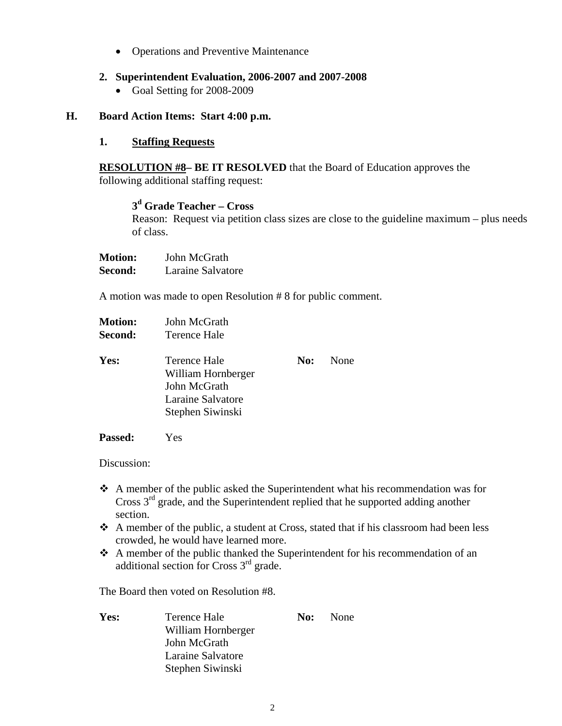• Operations and Preventive Maintenance

# **2. Superintendent Evaluation, 2006-2007 and 2007-2008**

• Goal Setting for 2008-2009

# **H. Board Action Items: Start 4:00 p.m.**

# **1. Staffing Requests**

**RESOLUTION #8– BE IT RESOLVED** that the Board of Education approves the following additional staffing request:

# **3d Grade Teacher – Cross**

Reason: Request via petition class sizes are close to the guideline maximum – plus needs of class.

| <b>Motion:</b> | John McGrath      |
|----------------|-------------------|
| Second:        | Laraine Salvatore |

A motion was made to open Resolution # 8 for public comment.

| <b>Motion:</b> | John McGrath        |
|----------------|---------------------|
| Second:        | <b>Terence Hale</b> |

| Yes: | Terence Hale       | <b>No:</b> None |
|------|--------------------|-----------------|
|      | William Hornberger |                 |
|      | John McGrath       |                 |
|      | Laraine Salvatore  |                 |
|      | Stephen Siwinski   |                 |

**Passed:** Yes

Discussion:

- A member of the public asked the Superintendent what his recommendation was for Cross  $3<sup>rd</sup>$  grade, and the Superintendent replied that he supported adding another section.
- $\triangle$  A member of the public, a student at Cross, stated that if his classroom had been less crowded, he would have learned more.
- A member of the public thanked the Superintendent for his recommendation of an additional section for Cross 3rd grade.

The Board then voted on Resolution #8.

**Yes:** Terence Hale **No:** None William Hornberger John McGrath Laraine Salvatore Stephen Siwinski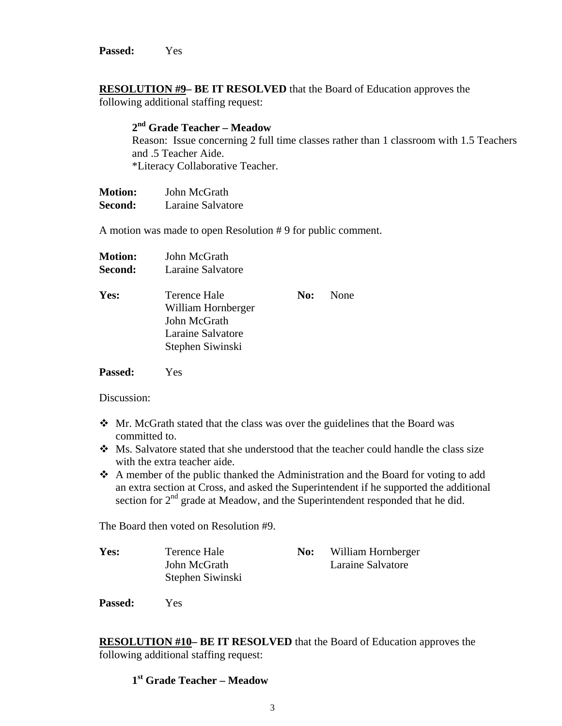**Passed:** Yes

**RESOLUTION #9– BE IT RESOLVED** that the Board of Education approves the following additional staffing request:

# **2nd Grade Teacher – Meadow**

Reason: Issue concerning 2 full time classes rather than 1 classroom with 1.5 Teachers and .5 Teacher Aide. \*Literacy Collaborative Teacher.

**Motion:** John McGrath **Second:** Laraine Salvatore

A motion was made to open Resolution # 9 for public comment.

| <b>Motion:</b> | John McGrath                                                                                |     |      |
|----------------|---------------------------------------------------------------------------------------------|-----|------|
| Second:        | Laraine Salvatore                                                                           |     |      |
| Yes:           | Terence Hale<br>William Hornberger<br>John McGrath<br>Laraine Salvatore<br>Stephen Siwinski | No: | None |
|                |                                                                                             |     |      |

**Passed:** Yes

Discussion:

- Mr. McGrath stated that the class was over the guidelines that the Board was committed to.
- Ms. Salvatore stated that she understood that the teacher could handle the class size with the extra teacher aide.
- A member of the public thanked the Administration and the Board for voting to add an extra section at Cross, and asked the Superintendent if he supported the additional section for 2<sup>nd</sup> grade at Meadow, and the Superintendent responded that he did.

The Board then voted on Resolution #9.

| Yes: | Terence Hale     | No: | William Hornberger |
|------|------------------|-----|--------------------|
|      | John McGrath     |     | Laraine Salvatore  |
|      | Stephen Siwinski |     |                    |

**Passed:** Yes

**RESOLUTION #10– BE IT RESOLVED** that the Board of Education approves the following additional staffing request:

# **1st Grade Teacher – Meadow**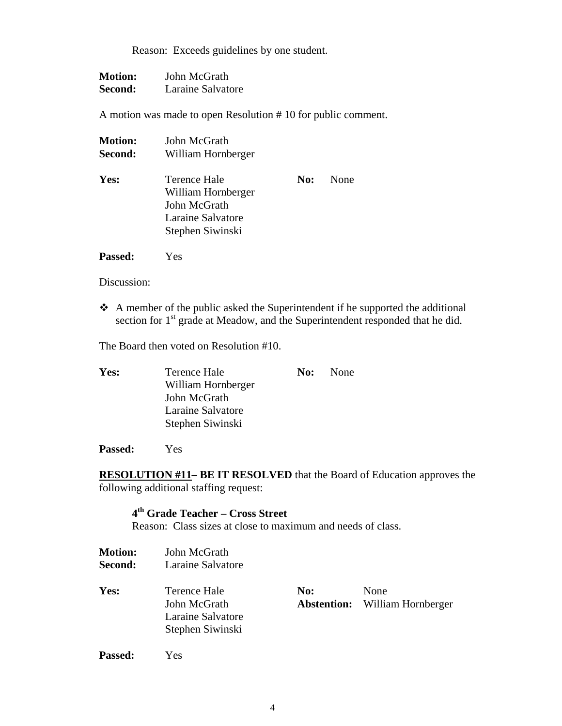Reason: Exceeds guidelines by one student.

| <b>Motion:</b> | John McGrath      |
|----------------|-------------------|
| Second:        | Laraine Salvatore |

A motion was made to open Resolution # 10 for public comment.

| <b>Motion:</b> | John McGrath                                                                                |     |      |
|----------------|---------------------------------------------------------------------------------------------|-----|------|
| Second:        | William Hornberger                                                                          |     |      |
| Yes:           | Terence Hale<br>William Hornberger<br>John McGrath<br>Laraine Salvatore<br>Stephen Siwinski | No: | None |

**Passed:** Yes

Discussion:

 $\triangle$  A member of the public asked the Superintendent if he supported the additional section for 1<sup>st</sup> grade at Meadow, and the Superintendent responded that he did.

The Board then voted on Resolution #10.

| Yes: | Terence Hale       | <b>No:</b> None |
|------|--------------------|-----------------|
|      | William Hornberger |                 |
|      | John McGrath       |                 |
|      | Laraine Salvatore  |                 |
|      | Stephen Siwinski   |                 |

**Passed:** Yes

**RESOLUTION #11– BE IT RESOLVED** that the Board of Education approves the following additional staffing request:

# **4th Grade Teacher – Cross Street**

Reason: Class sizes at close to maximum and needs of class.

| <b>Motion:</b><br>Second: | John McGrath<br>Laraine Salvatore                                     |                    |                            |
|---------------------------|-----------------------------------------------------------------------|--------------------|----------------------------|
| Yes:                      | Terence Hale<br>John McGrath<br>Laraine Salvatore<br>Stephen Siwinski | No:<br>Abstention: | None<br>William Hornberger |
| Passed:                   | Yes                                                                   |                    |                            |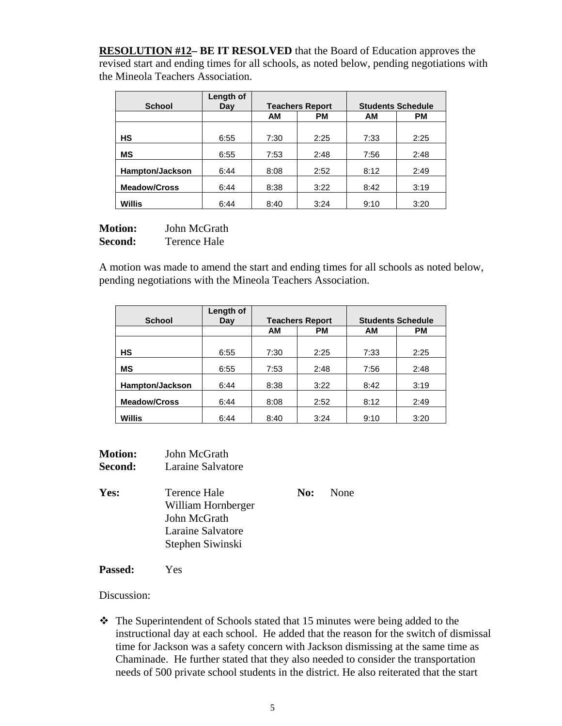**RESOLUTION #12– BE IT RESOLVED** that the Board of Education approves the revised start and ending times for all schools, as noted below, pending negotiations with the Mineola Teachers Association.

|                     | Length of |      |                        |                          |           |
|---------------------|-----------|------|------------------------|--------------------------|-----------|
| <b>School</b>       | Day       |      | <b>Teachers Report</b> | <b>Students Schedule</b> |           |
|                     |           | AM   | PM                     | AМ                       | <b>PM</b> |
|                     |           |      |                        |                          |           |
| НS                  | 6:55      | 7:30 | 2:25                   | 7:33                     | 2:25      |
| <b>MS</b>           | 6:55      | 7:53 | 2:48                   | 7:56                     | 2:48      |
| Hampton/Jackson     | 6:44      | 8:08 | 2:52                   | 8:12                     | 2:49      |
| <b>Meadow/Cross</b> | 6:44      | 8:38 | 3:22                   | 8:42                     | 3:19      |
| Willis              | 6:44      | 8:40 | 3:24                   | 9:10                     | 3:20      |

**Motion:** John McGrath **Second:** Terence Hale

A motion was made to amend the start and ending times for all schools as noted below, pending negotiations with the Mineola Teachers Association.

|                        | Length of |           |                        |      |                          |
|------------------------|-----------|-----------|------------------------|------|--------------------------|
| <b>School</b>          | Day       |           | <b>Teachers Report</b> |      | <b>Students Schedule</b> |
|                        |           | <b>AM</b> | PM                     | AМ   | <b>PM</b>                |
|                        |           |           |                        |      |                          |
| <b>HS</b>              | 6:55      | 7:30      | 2:25                   | 7:33 | 2:25                     |
| ΜS                     | 6:55      | 7:53      | 2:48                   | 7:56 | 2:48                     |
| <b>Hampton/Jackson</b> | 6:44      | 8:38      | 3:22                   | 8:42 | 3:19                     |
| <b>Meadow/Cross</b>    | 6:44      | 8:08      | 2:52                   | 8:12 | 2:49                     |
| Willis                 | 6:44      | 8:40      | 3:24                   | 9:10 | 3:20                     |

| <b>Motion:</b><br><b>Second:</b> | John McGrath<br>Laraine Salvatore                                                           |     |      |
|----------------------------------|---------------------------------------------------------------------------------------------|-----|------|
| Yes:                             | Terence Hale<br>William Hornberger<br>John McGrath<br>Laraine Salvatore<br>Stephen Siwinski | No: | None |
|                                  |                                                                                             |     |      |

**Passed:** Yes

Discussion:

 The Superintendent of Schools stated that 15 minutes were being added to the instructional day at each school. He added that the reason for the switch of dismissal time for Jackson was a safety concern with Jackson dismissing at the same time as Chaminade. He further stated that they also needed to consider the transportation needs of 500 private school students in the district. He also reiterated that the start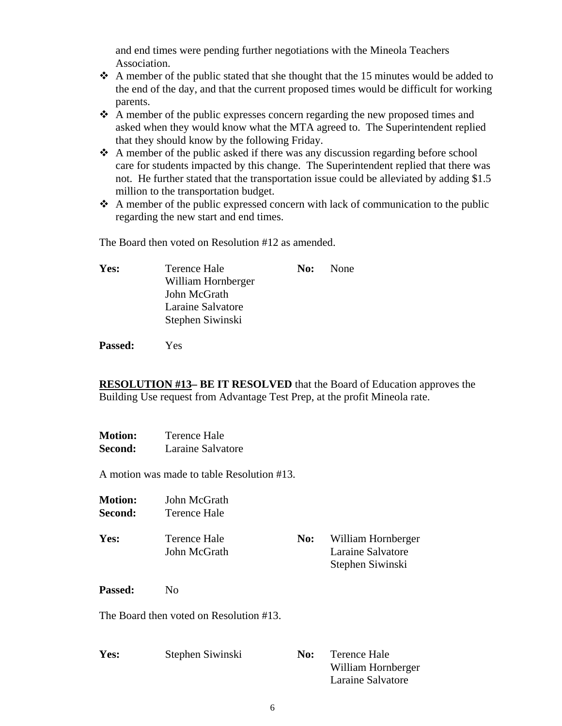and end times were pending further negotiations with the Mineola Teachers Association.

- $\triangle$  A member of the public stated that she thought that the 15 minutes would be added to the end of the day, and that the current proposed times would be difficult for working parents.
- A member of the public expresses concern regarding the new proposed times and asked when they would know what the MTA agreed to. The Superintendent replied that they should know by the following Friday.
- $\triangle$  A member of the public asked if there was any discussion regarding before school care for students impacted by this change. The Superintendent replied that there was not. He further stated that the transportation issue could be alleviated by adding \$1.5 million to the transportation budget.
- $\triangle$  A member of the public expressed concern with lack of communication to the public regarding the new start and end times.

The Board then voted on Resolution #12 as amended.

**Yes:** Terence Hale **No:** None William Hornberger John McGrath Laraine Salvatore Stephen Siwinski

**Passed:** Yes

**RESOLUTION #13– BE IT RESOLVED** that the Board of Education approves the Building Use request from Advantage Test Prep, at the profit Mineola rate.

| <b>Motion:</b> | Terence Hale      |
|----------------|-------------------|
| Second:        | Laraine Salvatore |

A motion was made to table Resolution #13.

| <b>Motion:</b> | John McGrath                 |     |                                                             |
|----------------|------------------------------|-----|-------------------------------------------------------------|
| Second:        | Terence Hale                 |     |                                                             |
| Yes:           | Terence Hale<br>John McGrath | No: | William Hornberger<br>Laraine Salvatore<br>Stephen Siwinski |

Passed: No

The Board then voted on Resolution #13.

| Yes: | Stephen Siwinski | No: | Terence Hale       |
|------|------------------|-----|--------------------|
|      |                  |     | William Hornberger |
|      |                  |     | Laraine Salvatore  |